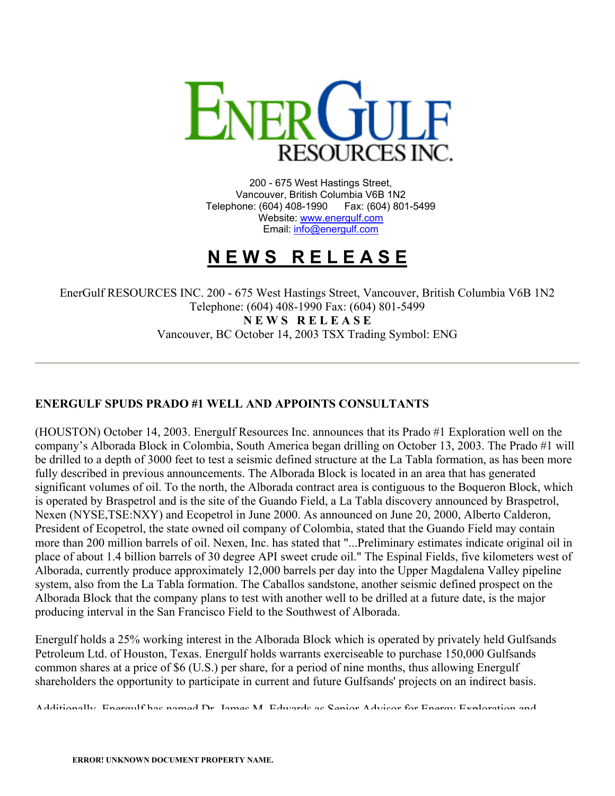

200 - 675 West Hastings Street, Vancouver, British Columbia V6B 1N2 Telephone: (604) 408-1990 Fax: (604) 801-5499 Website: [www.energulf.com](http://www.energulf.com/) Email: [info@energulf.com](mailto:info@energulf.com)

## **N E W S R E L E A S E**

EnerGulf RESOURCES INC. 200 - 675 West Hastings Street, Vancouver, British Columbia V6B 1N2 Telephone: (604) 408-1990 Fax: (604) 801-5499 **N E W S R E L E A S E** Vancouver, BC October 14, 2003 TSX Trading Symbol: ENG

## **ENERGULF SPUDS PRADO #1 WELL AND APPOINTS CONSULTANTS**

(HOUSTON) October 14, 2003. Energulf Resources Inc. announces that its Prado #1 Exploration well on the company's Alborada Block in Colombia, South America began drilling on October 13, 2003. The Prado #1 will be drilled to a depth of 3000 feet to test a seismic defined structure at the La Tabla formation, as has been more fully described in previous announcements. The Alborada Block is located in an area that has generated significant volumes of oil. To the north, the Alborada contract area is contiguous to the Boqueron Block, which is operated by Braspetrol and is the site of the Guando Field, a La Tabla discovery announced by Braspetrol, Nexen (NYSE,TSE:NXY) and Ecopetrol in June 2000. As announced on June 20, 2000, Alberto Calderon, President of Ecopetrol, the state owned oil company of Colombia, stated that the Guando Field may contain more than 200 million barrels of oil. Nexen, Inc. has stated that "...Preliminary estimates indicate original oil in place of about 1.4 billion barrels of 30 degree API sweet crude oil." The Espinal Fields, five kilometers west of Alborada, currently produce approximately 12,000 barrels per day into the Upper Magdalena Valley pipeline system, also from the La Tabla formation. The Caballos sandstone, another seismic defined prospect on the Alborada Block that the company plans to test with another well to be drilled at a future date, is the major producing interval in the San Francisco Field to the Southwest of Alborada.

Energulf holds a 25% working interest in the Alborada Block which is operated by privately held Gulfsands Petroleum Ltd. of Houston, Texas. Energulf holds warrants exerciseable to purchase 150,000 Gulfsands common shares at a price of \$6 (U.S.) per share, for a period of nine months, thus allowing Energulf shareholders the opportunity to participate in current and future Gulfsands' projects on an indirect basis.

Additionally Energulf has named Dr James M Edwards as Senior Advisor for Energy Exploration and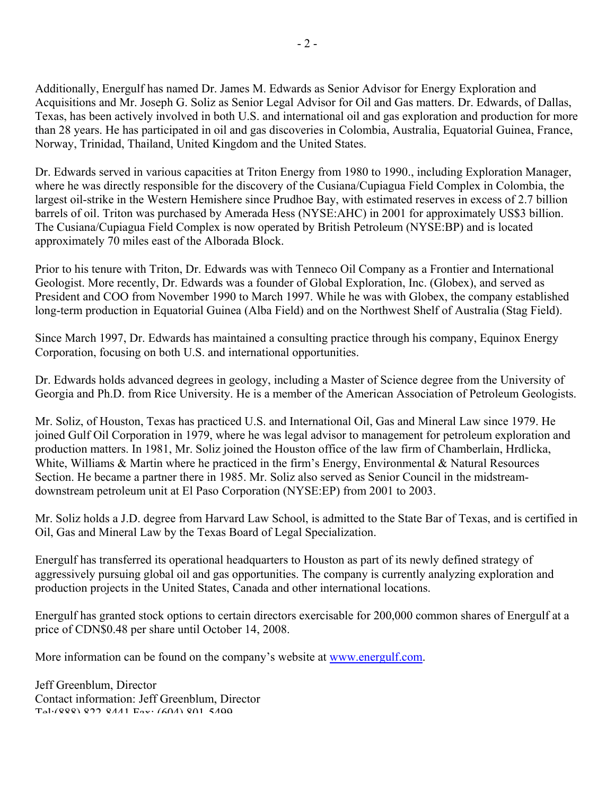Additionally, Energulf has named Dr. James M. Edwards as Senior Advisor for Energy Exploration and Acquisitions and Mr. Joseph G. Soliz as Senior Legal Advisor for Oil and Gas matters. Dr. Edwards, of Dallas, Texas, has been actively involved in both U.S. and international oil and gas exploration and production for more than 28 years. He has participated in oil and gas discoveries in Colombia, Australia, Equatorial Guinea, France, Norway, Trinidad, Thailand, United Kingdom and the United States.

Dr. Edwards served in various capacities at Triton Energy from 1980 to 1990., including Exploration Manager, where he was directly responsible for the discovery of the Cusiana/Cupiagua Field Complex in Colombia, the largest oil-strike in the Western Hemishere since Prudhoe Bay, with estimated reserves in excess of 2.7 billion barrels of oil. Triton was purchased by Amerada Hess (NYSE:AHC) in 2001 for approximately US\$3 billion. The Cusiana/Cupiagua Field Complex is now operated by British Petroleum (NYSE:BP) and is located approximately 70 miles east of the Alborada Block.

Prior to his tenure with Triton, Dr. Edwards was with Tenneco Oil Company as a Frontier and International Geologist. More recently, Dr. Edwards was a founder of Global Exploration, Inc. (Globex), and served as President and COO from November 1990 to March 1997. While he was with Globex, the company established long-term production in Equatorial Guinea (Alba Field) and on the Northwest Shelf of Australia (Stag Field).

Since March 1997, Dr. Edwards has maintained a consulting practice through his company, Equinox Energy Corporation, focusing on both U.S. and international opportunities.

Dr. Edwards holds advanced degrees in geology, including a Master of Science degree from the University of Georgia and Ph.D. from Rice University. He is a member of the American Association of Petroleum Geologists.

Mr. Soliz, of Houston, Texas has practiced U.S. and International Oil, Gas and Mineral Law since 1979. He joined Gulf Oil Corporation in 1979, where he was legal advisor to management for petroleum exploration and production matters. In 1981, Mr. Soliz joined the Houston office of the law firm of Chamberlain, Hrdlicka, White, Williams & Martin where he practiced in the firm's Energy, Environmental & Natural Resources Section. He became a partner there in 1985. Mr. Soliz also served as Senior Council in the midstreamdownstream petroleum unit at El Paso Corporation (NYSE:EP) from 2001 to 2003.

Mr. Soliz holds a J.D. degree from Harvard Law School, is admitted to the State Bar of Texas, and is certified in Oil, Gas and Mineral Law by the Texas Board of Legal Specialization.

Energulf has transferred its operational headquarters to Houston as part of its newly defined strategy of aggressively pursuing global oil and gas opportunities. The company is currently analyzing exploration and production projects in the United States, Canada and other international locations.

Energulf has granted stock options to certain directors exercisable for 200,000 common shares of Energulf at a price of CDN\$0.48 per share until October 14, 2008.

More information can be found on the company's website at [www.energulf.com.](http://www.energulf.com/)

Jeff Greenblum, Director Contact information: Jeff Greenblum, Director  $T_{c1}$ (888) 822 8441  $F_{av}$  (604) 801 5400